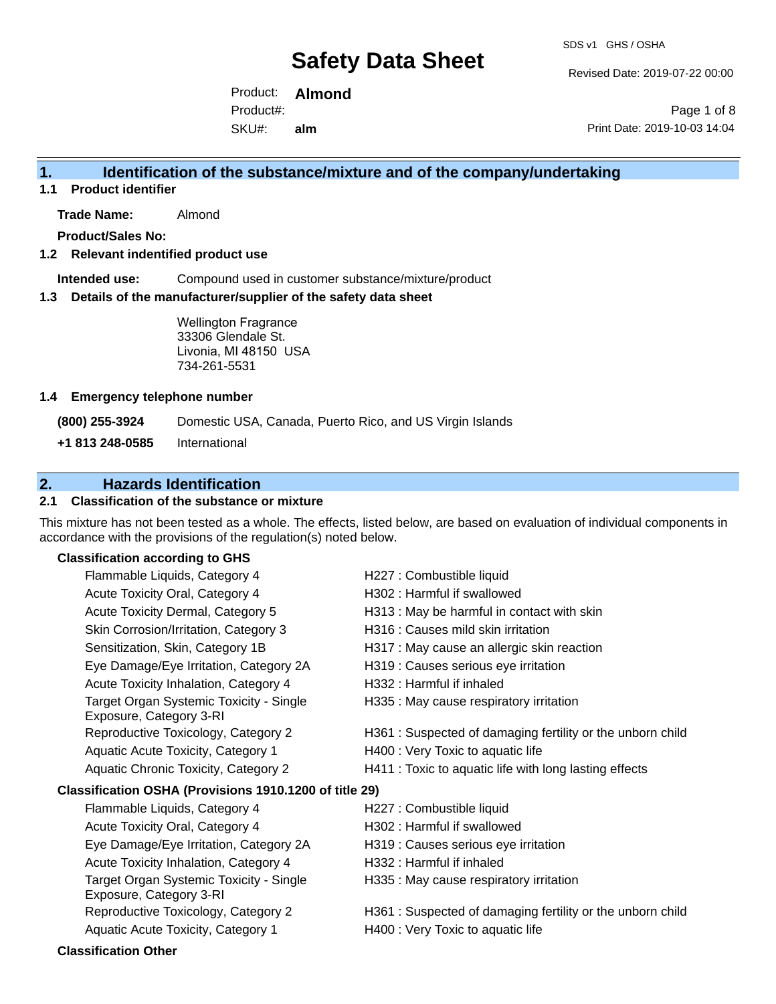Revised Date: 2019-07-22 00:00

Product: **Almond**  SKU#: Product#: **alm**

Page 1 of 8 Print Date: 2019-10-03 14:04

### **1. Identification of the substance/mixture and of the company/undertaking**

**1.1 Product identifier**

**Trade Name:** Almond

**Product/Sales No:**

### **1.2 Relevant indentified product use**

**Intended use:** Compound used in customer substance/mixture/product

#### **1.3 Details of the manufacturer/supplier of the safety data sheet**

Wellington Fragrance 33306 Glendale St. Livonia, MI 48150 USA 734-261-5531

### **1.4 Emergency telephone number**

**(800) 255-3924** Domestic USA, Canada, Puerto Rico, and US Virgin Islands

**+1 813 248-0585** International

## **2. Hazards Identification**

### **2.1 Classification of the substance or mixture**

This mixture has not been tested as a whole. The effects, listed below, are based on evaluation of individual components in accordance with the provisions of the regulation(s) noted below.

### **Classification according to GHS**

| Flammable Liquids, Category 4                                      | H227 : Combustible liquid                                 |
|--------------------------------------------------------------------|-----------------------------------------------------------|
| Acute Toxicity Oral, Category 4                                    | H302: Harmful if swallowed                                |
| Acute Toxicity Dermal, Category 5                                  | H313 : May be harmful in contact with skin                |
| Skin Corrosion/Irritation, Category 3                              | H316 : Causes mild skin irritation                        |
| Sensitization, Skin, Category 1B                                   | H317 : May cause an allergic skin reaction                |
| Eye Damage/Eye Irritation, Category 2A                             | H319 : Causes serious eye irritation                      |
| Acute Toxicity Inhalation, Category 4                              | H332: Harmful if inhaled                                  |
| Target Organ Systemic Toxicity - Single<br>Exposure, Category 3-RI | H335 : May cause respiratory irritation                   |
| Reproductive Toxicology, Category 2                                | H361: Suspected of damaging fertility or the unborn child |
| Aquatic Acute Toxicity, Category 1                                 | H400 : Very Toxic to aquatic life                         |
| Aquatic Chronic Toxicity, Category 2                               | H411 : Toxic to aquatic life with long lasting effects    |
| Classification OSHA (Provisions 1910.1200 of title 29)             |                                                           |
| Flammable Liquids, Category 4                                      | H227 : Combustible liquid                                 |
| Acute Toxicity Oral, Category 4                                    | H302: Harmful if swallowed                                |
| Eye Damage/Eye Irritation, Category 2A                             | H319 : Causes serious eye irritation                      |
| Acute Toxicity Inhalation, Category 4                              | H332: Harmful if inhaled                                  |
| Target Organ Systemic Toxicity - Single<br>Exposure, Category 3-RI | H335 : May cause respiratory irritation                   |
| Reproductive Toxicology, Category 2                                | H361: Suspected of damaging fertility or the unborn child |
| Aquatic Acute Toxicity, Category 1                                 | H400 : Very Toxic to aquatic life                         |
|                                                                    |                                                           |

#### **Classification Other**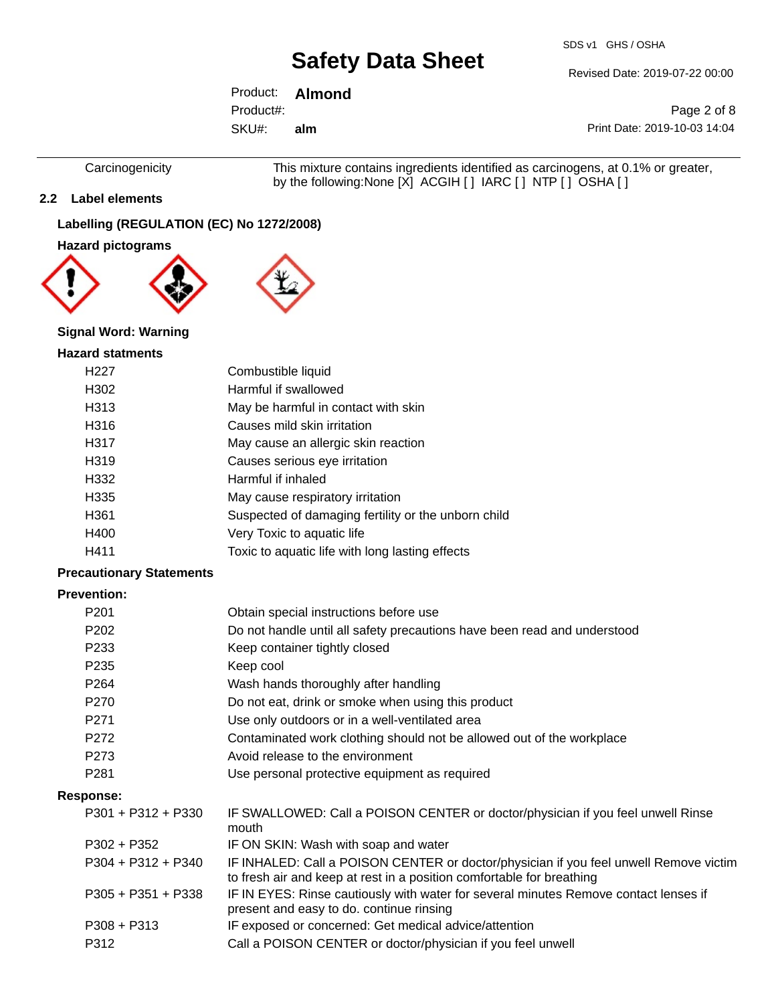SDS v1 GHS / OSHA

Revised Date: 2019-07-22 00:00

Product: **Almond**  SKU#: Product#: **alm**

Page 2 of 8 Print Date: 2019-10-03 14:04

Carcinogenicity This mixture contains ingredients identified as carcinogens, at 0.1% or greater, by the following:None [X] ACGIH [ ] IARC [ ] NTP [ ] OSHA [ ]

**2.2 Label elements**

## **Labelling (REGULATION (EC) No 1272/2008)**

### **Hazard pictograms**



### **Signal Word: Warning**

### **Hazard statments**

| H <sub>22</sub> 7 | Combustible liquid                                  |
|-------------------|-----------------------------------------------------|
| H302              | Harmful if swallowed                                |
| H313              | May be harmful in contact with skin                 |
| H316              | Causes mild skin irritation                         |
| H317              | May cause an allergic skin reaction                 |
| H319              | Causes serious eye irritation                       |
| H332              | Harmful if inhaled                                  |
| H335              | May cause respiratory irritation                    |
| H361              | Suspected of damaging fertility or the unborn child |
| H400              | Very Toxic to aquatic life                          |
| H411              | Toxic to aquatic life with long lasting effects     |
|                   |                                                     |

### **Precautionary Statements**

### **Prevention:**

| P <sub>201</sub>     | Obtain special instructions before use                                                                                                                         |
|----------------------|----------------------------------------------------------------------------------------------------------------------------------------------------------------|
| P <sub>202</sub>     | Do not handle until all safety precautions have been read and understood                                                                                       |
| P <sub>233</sub>     | Keep container tightly closed                                                                                                                                  |
| P <sub>235</sub>     | Keep cool                                                                                                                                                      |
| P <sub>264</sub>     | Wash hands thoroughly after handling                                                                                                                           |
| P <sub>270</sub>     | Do not eat, drink or smoke when using this product                                                                                                             |
| P <sub>271</sub>     | Use only outdoors or in a well-ventilated area                                                                                                                 |
| P272                 | Contaminated work clothing should not be allowed out of the workplace                                                                                          |
| P273                 | Avoid release to the environment                                                                                                                               |
| P <sub>281</sub>     | Use personal protective equipment as required                                                                                                                  |
| Response:            |                                                                                                                                                                |
| $P301 + P312 + P330$ | IF SWALLOWED: Call a POISON CENTER or doctor/physician if you feel unwell Rinse<br>mouth                                                                       |
| $P302 + P352$        | IF ON SKIN: Wash with soap and water                                                                                                                           |
| $P304 + P312 + P340$ | IF INHALED: Call a POISON CENTER or doctor/physician if you feel unwell Remove victim<br>to fresh air and keep at rest in a position comfortable for breathing |
| $P305 + P351 + P338$ | IF IN EYES: Rinse cautiously with water for several minutes Remove contact lenses if<br>present and easy to do. continue rinsing                               |
| $P308 + P313$        | IF exposed or concerned: Get medical advice/attention                                                                                                          |
| P312                 | Call a POISON CENTER or doctor/physician if you feel unwell                                                                                                    |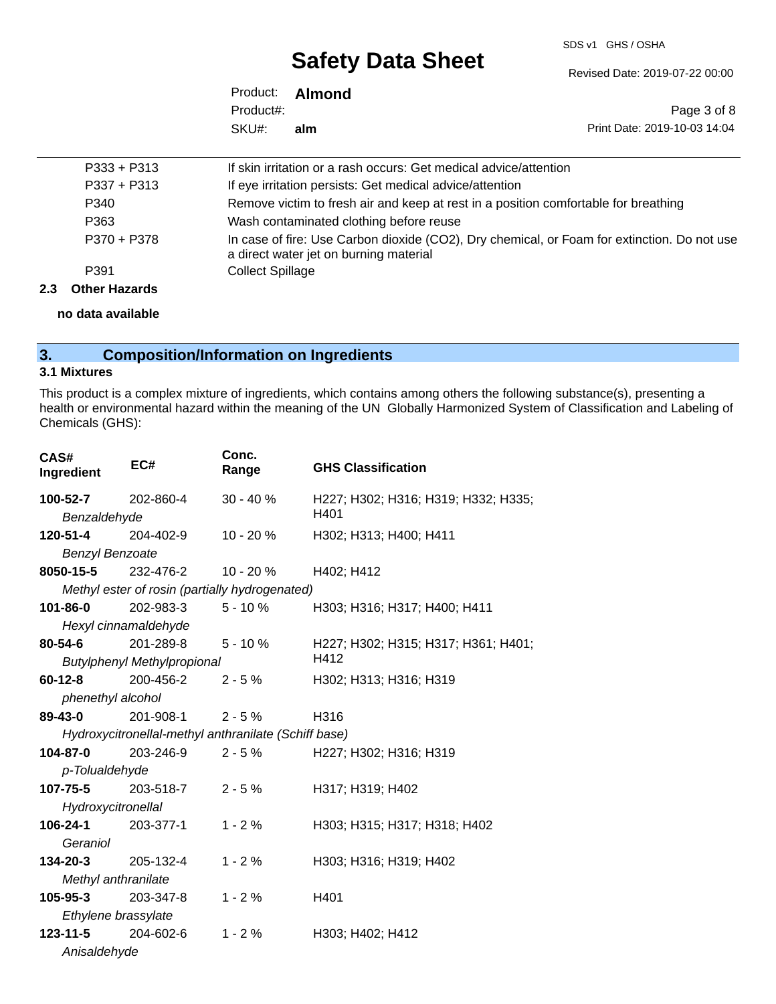#### SDS v1 GHS / OSHA

# **Safety Data Sheet**

Revised Date: 2019-07-22 00:00

|           | Product: <b>Almond</b> |                              |
|-----------|------------------------|------------------------------|
| Product#: |                        | Page 3 of 8                  |
| SKU#:     | alm                    | Print Date: 2019-10-03 14:04 |

| P391          | <b>Collect Spillage</b>                                                                     |
|---------------|---------------------------------------------------------------------------------------------|
|               | a direct water jet on burning material                                                      |
| P370 + P378   | In case of fire: Use Carbon dioxide (CO2), Dry chemical, or Foam for extinction. Do not use |
| P363          | Wash contaminated clothing before reuse                                                     |
| P340          | Remove victim to fresh air and keep at rest in a position comfortable for breathing         |
| $P337 + P313$ | If eye irritation persists: Get medical advice/attention                                    |
| $P333 + P313$ | If skin irritation or a rash occurs: Get medical advice/attention                           |

**2.3 Other Hazards**

**no data available**

# **3. Composition/Information on Ingredients**

### **3.1 Mixtures**

This product is a complex mixture of ingredients, which contains among others the following substance(s), presenting a health or environmental hazard within the meaning of the UN Globally Harmonized System of Classification and Labeling of Chemicals (GHS):

| CAS#<br>Ingredient     | EC#                                                  | Conc.<br>Range | <b>GHS Classification</b>           |  |  |
|------------------------|------------------------------------------------------|----------------|-------------------------------------|--|--|
| 100-52-7               | 202-860-4                                            | $30 - 40%$     | H227; H302; H316; H319; H332; H335; |  |  |
| Benzaldehyde           |                                                      |                | H401                                |  |  |
| 120-51-4               | 204-402-9                                            | $10 - 20%$     | H302; H313; H400; H411              |  |  |
| <b>Benzyl Benzoate</b> |                                                      |                |                                     |  |  |
| 8050-15-5              | 232-476-2                                            | $10 - 20%$     | H402; H412                          |  |  |
|                        | Methyl ester of rosin (partially hydrogenated)       |                |                                     |  |  |
| 101-86-0               | 202-983-3                                            | $5 - 10%$      | H303; H316; H317; H400; H411        |  |  |
|                        | Hexyl cinnamaldehyde                                 |                |                                     |  |  |
| 80-54-6                | 201-289-8                                            | $5 - 10 \%$    | H227; H302; H315; H317; H361; H401; |  |  |
|                        | <b>Butylphenyl Methylpropional</b>                   |                | H412                                |  |  |
| 60-12-8                | 200-456-2                                            | $2 - 5%$       | H302; H313; H316; H319              |  |  |
| phenethyl alcohol      |                                                      |                |                                     |  |  |
| 89-43-0                | 201-908-1                                            | $2 - 5%$       | H316                                |  |  |
|                        | Hydroxycitronellal-methyl anthranilate (Schiff base) |                |                                     |  |  |
| 104-87-0               | 203-246-9                                            | $2 - 5%$       | H227; H302; H316; H319              |  |  |
| p-Tolualdehyde         |                                                      |                |                                     |  |  |
| 107-75-5 203-518-7     |                                                      | $2 - 5%$       | H317; H319; H402                    |  |  |
| Hydroxycitronellal     |                                                      |                |                                     |  |  |
| 106-24-1               | 203-377-1                                            | $1 - 2%$       | H303; H315; H317; H318; H402        |  |  |
| Geraniol               |                                                      |                |                                     |  |  |
| 134-20-3               | 205-132-4                                            | $1 - 2%$       | H303; H316; H319; H402              |  |  |
| Methyl anthranilate    |                                                      |                |                                     |  |  |
| 105-95-3               | 203-347-8                                            | $1 - 2%$       | H401                                |  |  |
| Ethylene brassylate    |                                                      |                |                                     |  |  |
| $123 - 11 - 5$         | 204-602-6                                            | $1 - 2%$       | H303; H402; H412                    |  |  |
| Anisaldehyde           |                                                      |                |                                     |  |  |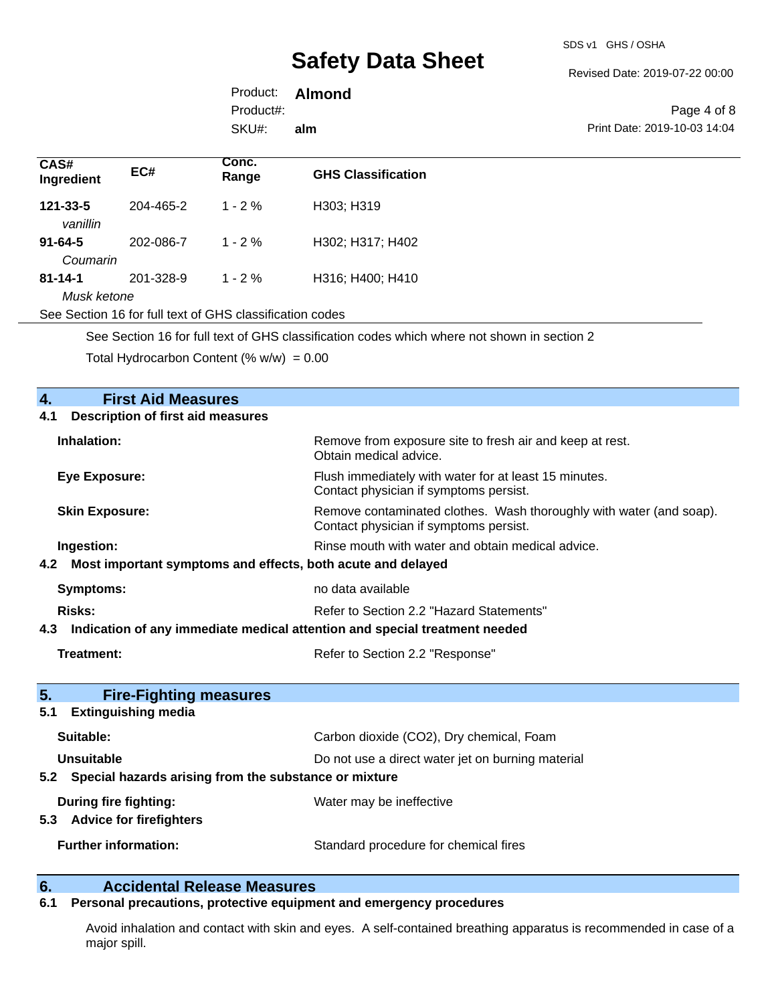Revised Date: 2019-07-22 00:00

|           | Product: <b>Almond</b> |                |
|-----------|------------------------|----------------|
| Product#: |                        |                |
| SKU#:     | alm                    | <b>Print D</b> |

Page 4 of 8 0ate: 2019-10-03 14:04

| CAS#<br>Ingredient                                                                          | EC#       | Conc.<br>Range | <b>GHS Classification</b> |
|---------------------------------------------------------------------------------------------|-----------|----------------|---------------------------|
| $121 - 33 - 5$<br>vanillin                                                                  | 204-465-2 | $1 - 2\%$      | H303; H319                |
| $91 - 64 - 5$                                                                               | 202-086-7 | $1 - 2\%$      | H302; H317; H402          |
| Coumarin                                                                                    |           |                |                           |
| $81 - 14 - 1$                                                                               | 201-328-9 | $1 - 2\%$      | H316; H400; H410          |
| Musk ketone                                                                                 |           |                |                           |
| See Section 16 for full text of GHS classification codes                                    |           |                |                           |
| See Section 16 for full text of GHS classification codes which where not shown in section 2 |           |                |                           |

Total Hydrocarbon Content (%  $w/w$ ) = 0.00

| <b>First Aid Measures</b><br>4.                                                      |                                                                                                               |  |
|--------------------------------------------------------------------------------------|---------------------------------------------------------------------------------------------------------------|--|
| <b>Description of first aid measures</b><br>4.1                                      |                                                                                                               |  |
| Inhalation:                                                                          | Remove from exposure site to fresh air and keep at rest.<br>Obtain medical advice.                            |  |
| <b>Eye Exposure:</b>                                                                 | Flush immediately with water for at least 15 minutes.<br>Contact physician if symptoms persist.               |  |
| <b>Skin Exposure:</b>                                                                | Remove contaminated clothes. Wash thoroughly with water (and soap).<br>Contact physician if symptoms persist. |  |
| Ingestion:                                                                           | Rinse mouth with water and obtain medical advice.                                                             |  |
| 4.2 Most important symptoms and effects, both acute and delayed                      |                                                                                                               |  |
| Symptoms:                                                                            | no data available                                                                                             |  |
| <b>Risks:</b>                                                                        | Refer to Section 2.2 "Hazard Statements"                                                                      |  |
| 4.3 Indication of any immediate medical attention and special treatment needed       |                                                                                                               |  |
| <b>Treatment:</b>                                                                    | Refer to Section 2.2 "Response"                                                                               |  |
| 5 <sub>1</sub><br><b>Fire-Fighting measures</b><br><b>Extinguishing media</b><br>5.1 |                                                                                                               |  |
| Suitable:                                                                            | Carbon dioxide (CO2), Dry chemical, Foam                                                                      |  |
| <b>Unsuitable</b>                                                                    | Do not use a direct water jet on burning material                                                             |  |
| 5.2 Special hazards arising from the substance or mixture                            |                                                                                                               |  |
| <b>During fire fighting:</b><br>5.3 Advice for firefighters                          | Water may be ineffective                                                                                      |  |
| <b>Further information:</b>                                                          | Standard procedure for chemical fires                                                                         |  |

# **6. Calcidental Release Measures**<br>**6.1 Personal precautions, protective equipment**

**6.1 Personal precautions, protective equipment and emergency procedures**

Avoid inhalation and contact with skin and eyes. A self-contained breathing apparatus is recommended in case of a major spill.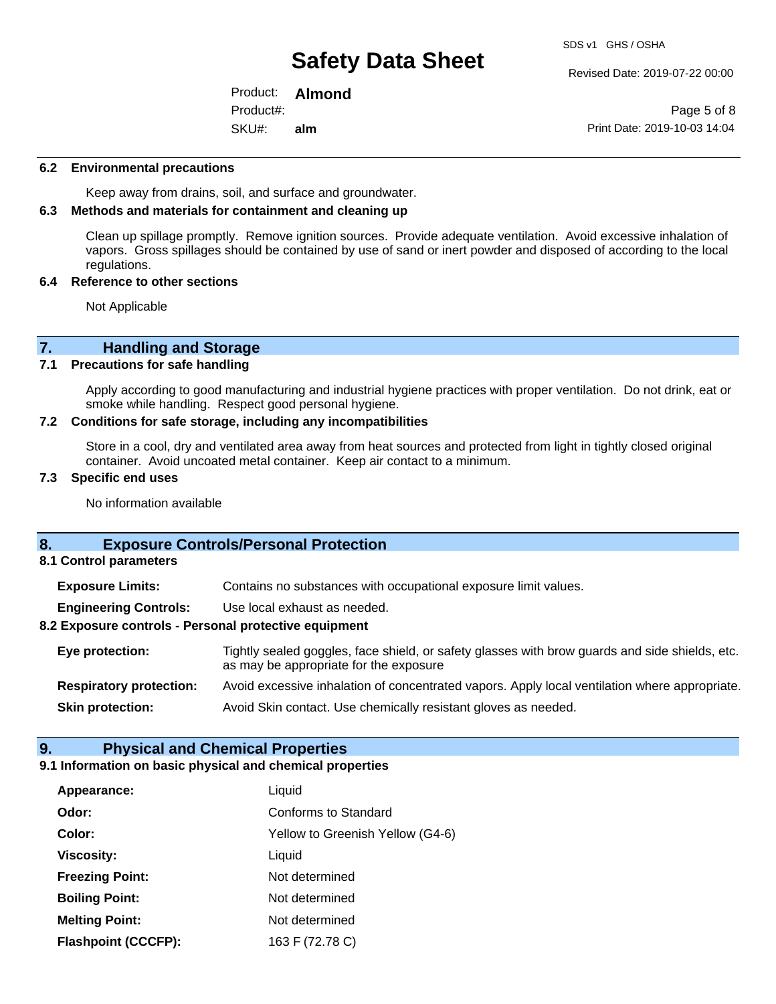Revised Date: 2019-07-22 00:00

Product: **Almond**  SKU#: Product#: **alm**

Page 5 of 8 Print Date: 2019-10-03 14:04

#### **6.2 Environmental precautions**

Keep away from drains, soil, and surface and groundwater.

### **6.3 Methods and materials for containment and cleaning up**

Clean up spillage promptly. Remove ignition sources. Provide adequate ventilation. Avoid excessive inhalation of vapors. Gross spillages should be contained by use of sand or inert powder and disposed of according to the local regulations.

#### **6.4 Reference to other sections**

Not Applicable

# **7. Handling and Storage**<br>**7.1** Precautions for safe handling

### **Precautions for safe handling**

Apply according to good manufacturing and industrial hygiene practices with proper ventilation. Do not drink, eat or smoke while handling. Respect good personal hygiene.

### **7.2 Conditions for safe storage, including any incompatibilities**

Store in a cool, dry and ventilated area away from heat sources and protected from light in tightly closed original container. Avoid uncoated metal container. Keep air contact to a minimum.

### **7.3 Specific end uses**

No information available

## **8. Exposure Controls/Personal Protection**

**8.1 Control parameters**

**Exposure Limits:** Contains no substances with occupational exposure limit values.

**Engineering Controls:** Use local exhaust as needed.

### **8.2 Exposure controls - Personal protective equipment**

**Eye protection:** Tightly sealed goggles, face shield, or safety glasses with brow guards and side shields, etc. as may be appropriate for the exposure **Respiratory protection:** Avoid excessive inhalation of concentrated vapors. Apply local ventilation where appropriate.

**Skin protection:** Avoid Skin contact. Use chemically resistant gloves as needed.

### **9. Physical and Chemical Properties**

### **9.1 Information on basic physical and chemical properties**

| Appearance:                | Liquid                           |
|----------------------------|----------------------------------|
| Odor:                      | Conforms to Standard             |
| Color:                     | Yellow to Greenish Yellow (G4-6) |
| <b>Viscosity:</b>          | Liquid                           |
| <b>Freezing Point:</b>     | Not determined                   |
| <b>Boiling Point:</b>      | Not determined                   |
| <b>Melting Point:</b>      | Not determined                   |
| <b>Flashpoint (CCCFP):</b> | 163 F (72.78 C)                  |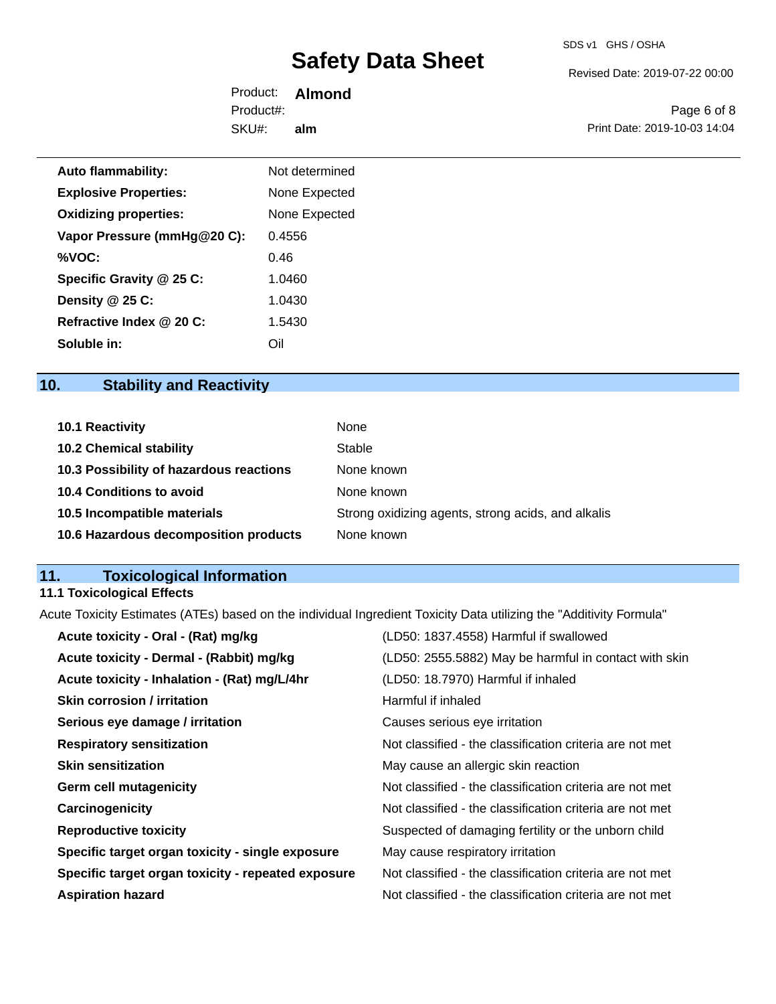Revised Date: 2019-07-22 00:00

Product: **Almond**  SKU#: Product#: **alm**

Page 6 of 8 Print Date: 2019-10-03 14:04

| <b>Auto flammability:</b>    | Not determined |
|------------------------------|----------------|
| <b>Explosive Properties:</b> | None Expected  |
| <b>Oxidizing properties:</b> | None Expected  |
| Vapor Pressure (mmHg@20 C):  | 0.4556         |
| %VOC:                        | 0.46           |
| Specific Gravity @ 25 C:     | 1.0460         |
| Density @ 25 C:              | 1.0430         |
| Refractive Index @ 20 C:     | 1.5430         |
| Soluble in:                  | Oil            |

# **10. Stability and Reactivity**

| <b>10.1 Reactivity</b>                  | None                                               |
|-----------------------------------------|----------------------------------------------------|
| <b>10.2 Chemical stability</b>          | Stable                                             |
| 10.3 Possibility of hazardous reactions | None known                                         |
| 10.4 Conditions to avoid                | None known                                         |
| 10.5 Incompatible materials             | Strong oxidizing agents, strong acids, and alkalis |
| 10.6 Hazardous decomposition products   | None known                                         |

# **11. Toxicological Information**

# **11.1 Toxicological Effects**

Acute Toxicity Estimates (ATEs) based on the individual Ingredient Toxicity Data utilizing the "Additivity Formula"

| Acute toxicity - Oral - (Rat) mg/kg                | (LD50: 1837.4558) Harmful if swallowed                   |
|----------------------------------------------------|----------------------------------------------------------|
| Acute toxicity - Dermal - (Rabbit) mg/kg           | (LD50: 2555.5882) May be harmful in contact with skin    |
| Acute toxicity - Inhalation - (Rat) mg/L/4hr       | (LD50: 18.7970) Harmful if inhaled                       |
| <b>Skin corrosion / irritation</b>                 | Harmful if inhaled                                       |
| Serious eye damage / irritation                    | Causes serious eye irritation                            |
| <b>Respiratory sensitization</b>                   | Not classified - the classification criteria are not met |
| <b>Skin sensitization</b>                          | May cause an allergic skin reaction                      |
| <b>Germ cell mutagenicity</b>                      | Not classified - the classification criteria are not met |
| Carcinogenicity                                    | Not classified - the classification criteria are not met |
| <b>Reproductive toxicity</b>                       | Suspected of damaging fertility or the unborn child      |
| Specific target organ toxicity - single exposure   | May cause respiratory irritation                         |
| Specific target organ toxicity - repeated exposure | Not classified - the classification criteria are not met |
| <b>Aspiration hazard</b>                           | Not classified - the classification criteria are not met |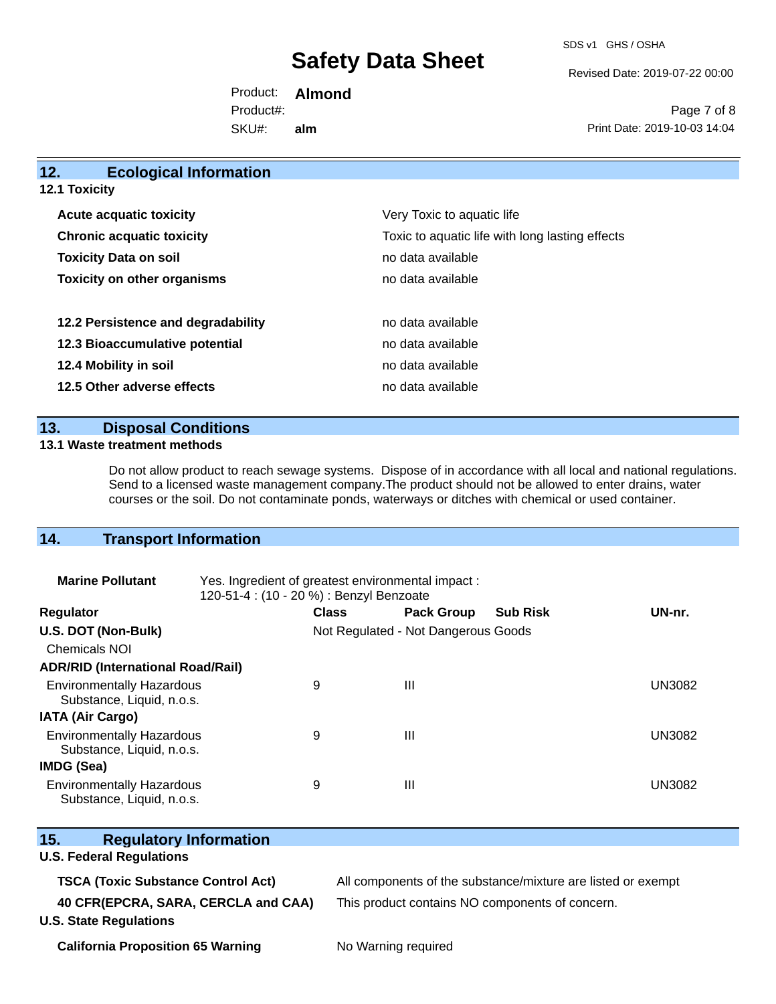SDS v1 GHS / OSHA

Revised Date: 2019-07-22 00:00

Product: **Almond**  SKU#: Product#: **alm**

Page 7 of 8 Print Date: 2019-10-03 14:04

| 12.                            | <b>Ecological Information</b>      |                                                 |  |  |  |
|--------------------------------|------------------------------------|-------------------------------------------------|--|--|--|
| <b>12.1 Toxicity</b>           |                                    |                                                 |  |  |  |
| <b>Acute acquatic toxicity</b> |                                    | Very Toxic to aquatic life                      |  |  |  |
|                                | <b>Chronic acquatic toxicity</b>   | Toxic to aquatic life with long lasting effects |  |  |  |
| <b>Toxicity Data on soil</b>   |                                    | no data available                               |  |  |  |
|                                | <b>Toxicity on other organisms</b> | no data available                               |  |  |  |
|                                | 12.2 Persistence and degradability | no data available                               |  |  |  |
|                                | 12.3 Bioaccumulative potential     | no data available                               |  |  |  |
|                                | 12.4 Mobility in soil              | no data available                               |  |  |  |
|                                | 12.5 Other adverse effects         | no data available                               |  |  |  |
|                                |                                    |                                                 |  |  |  |

## **13. Disposal Conditions**

### **13.1 Waste treatment methods**

Do not allow product to reach sewage systems. Dispose of in accordance with all local and national regulations. Send to a licensed waste management company.The product should not be allowed to enter drains, water courses or the soil. Do not contaminate ponds, waterways or ditches with chemical or used container.

## **14. Transport Information**

| <b>Marine Pollutant</b>                                       | Yes. Ingredient of greatest environmental impact:<br>120-51-4 : (10 - 20 %) : Benzyl Benzoate |                                     |                   |                 |               |
|---------------------------------------------------------------|-----------------------------------------------------------------------------------------------|-------------------------------------|-------------------|-----------------|---------------|
| <b>Regulator</b>                                              |                                                                                               | <b>Class</b>                        | <b>Pack Group</b> | <b>Sub Risk</b> | UN-nr.        |
| U.S. DOT (Non-Bulk)                                           |                                                                                               | Not Regulated - Not Dangerous Goods |                   |                 |               |
| <b>Chemicals NOI</b>                                          |                                                                                               |                                     |                   |                 |               |
| <b>ADR/RID (International Road/Rail)</b>                      |                                                                                               |                                     |                   |                 |               |
| <b>Environmentally Hazardous</b><br>Substance, Liquid, n.o.s. |                                                                                               | 9                                   | Ш                 |                 | <b>UN3082</b> |
| <b>IATA (Air Cargo)</b>                                       |                                                                                               |                                     |                   |                 |               |
| <b>Environmentally Hazardous</b><br>Substance, Liquid, n.o.s. |                                                                                               | 9                                   | Ш                 |                 | <b>UN3082</b> |
| <b>IMDG (Sea)</b>                                             |                                                                                               |                                     |                   |                 |               |
| <b>Environmentally Hazardous</b><br>Substance, Liquid, n.o.s. |                                                                                               | 9                                   | Ш                 |                 | <b>UN3082</b> |

| 15.<br><b>Regulatory Information</b>      |                                                              |
|-------------------------------------------|--------------------------------------------------------------|
| <b>U.S. Federal Regulations</b>           |                                                              |
| <b>TSCA (Toxic Substance Control Act)</b> | All components of the substance/mixture are listed or exempt |
| 40 CFR(EPCRA, SARA, CERCLA and CAA)       | This product contains NO components of concern.              |
| <b>U.S. State Regulations</b>             |                                                              |
|                                           | $\blacksquare$                                               |

**California Proposition 65 Warning No Warning required**